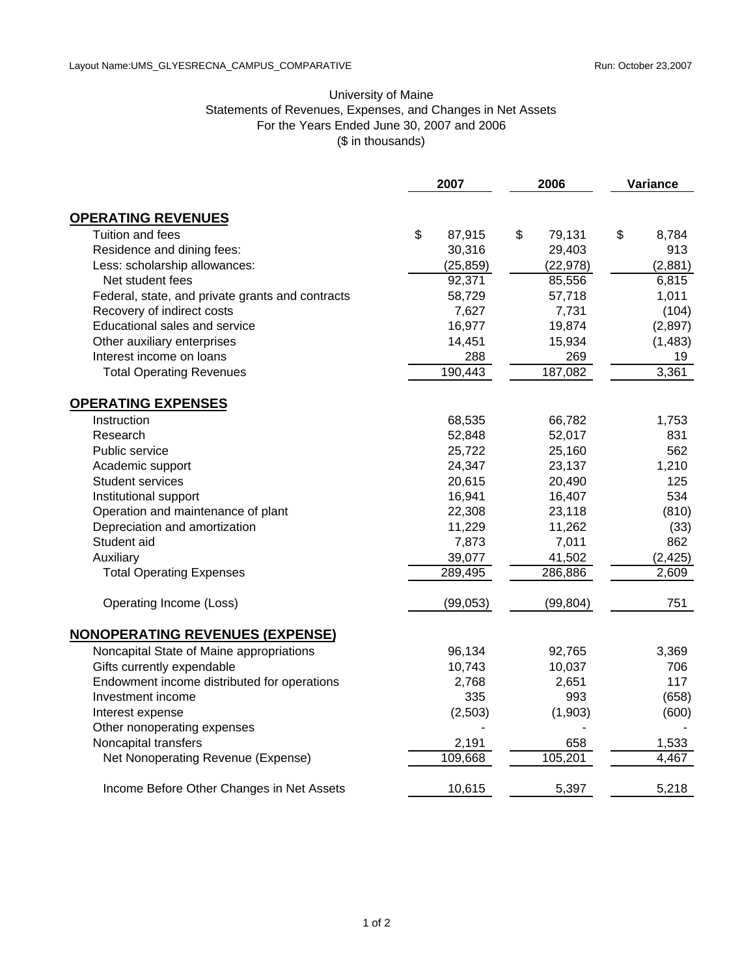## University of Maine Statements of Revenues, Expenses, and Changes in Net Assets For the Years Ended June 30, 2007 and 2006 (\$ in thousands)

|                                                  | 2007 |           | 2006 |           | Variance |          |
|--------------------------------------------------|------|-----------|------|-----------|----------|----------|
| <b>OPERATING REVENUES</b>                        |      |           |      |           |          |          |
| Tuition and fees                                 | \$   | 87,915    | \$   | 79,131    | \$       | 8,784    |
| Residence and dining fees:                       |      | 30,316    |      | 29,403    |          | 913      |
| Less: scholarship allowances:                    |      | (25, 859) |      | (22, 978) |          | (2,881)  |
| Net student fees                                 |      | 92,371    |      | 85,556    |          | 6,815    |
| Federal, state, and private grants and contracts |      | 58,729    |      | 57,718    |          | 1,011    |
| Recovery of indirect costs                       |      | 7,627     |      | 7,731     |          | (104)    |
| Educational sales and service                    |      | 16,977    |      | 19,874    |          | (2,897)  |
| Other auxiliary enterprises                      |      | 14,451    |      | 15,934    |          | (1, 483) |
| Interest income on loans                         |      | 288       |      | 269       |          | 19       |
| <b>Total Operating Revenues</b>                  |      | 190,443   |      | 187,082   |          | 3,361    |
| <b>OPERATING EXPENSES</b>                        |      |           |      |           |          |          |
| Instruction                                      |      | 68,535    |      | 66,782    |          | 1,753    |
| Research                                         |      | 52,848    |      | 52,017    |          | 831      |
| Public service                                   |      | 25,722    |      | 25,160    |          | 562      |
| Academic support                                 |      | 24,347    |      | 23,137    |          | 1,210    |
| <b>Student services</b>                          |      | 20,615    |      | 20,490    |          | 125      |
| Institutional support                            |      | 16,941    |      | 16,407    |          | 534      |
| Operation and maintenance of plant               |      | 22,308    |      | 23,118    |          | (810)    |
| Depreciation and amortization                    |      | 11,229    |      | 11,262    |          | (33)     |
| Student aid                                      |      | 7,873     |      | 7,011     |          | 862      |
| Auxiliary                                        |      | 39,077    |      | 41,502    |          | (2, 425) |
| <b>Total Operating Expenses</b>                  |      | 289,495   |      | 286,886   |          | 2,609    |
| Operating Income (Loss)                          |      | (99,053)  |      | (99, 804) |          | 751      |
| <b>NONOPERATING REVENUES (EXPENSE)</b>           |      |           |      |           |          |          |
| Noncapital State of Maine appropriations         |      | 96,134    |      | 92,765    |          | 3,369    |
| Gifts currently expendable                       |      | 10,743    |      | 10,037    |          | 706      |
| Endowment income distributed for operations      |      | 2,768     |      | 2,651     |          | 117      |
| Investment income                                |      | 335       |      | 993       |          | (658)    |
| Interest expense                                 |      | (2, 503)  |      | (1,903)   |          | (600)    |
| Other nonoperating expenses                      |      |           |      |           |          |          |
| Noncapital transfers                             |      | 2,191     |      | 658       |          | 1,533    |
| Net Nonoperating Revenue (Expense)               |      | 109,668   |      | 105,201   |          | 4,467    |
| Income Before Other Changes in Net Assets        |      | 10,615    |      | 5,397     |          | 5,218    |